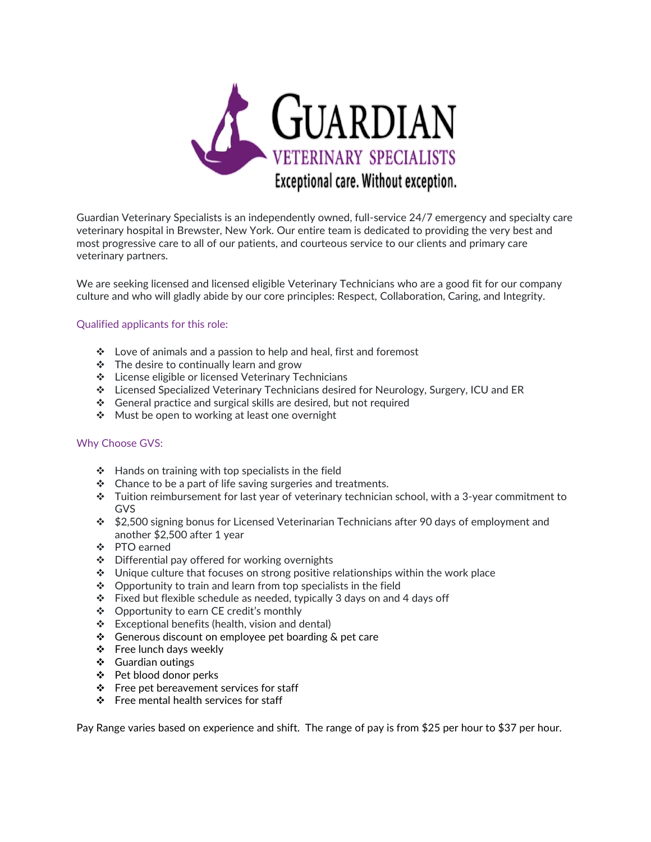

Guardian Veterinary Specialists is an independently owned, full-service 24/7 emergency and specialty care veterinary hospital in Brewster, New York. Our entire team is dedicated to providing the very best and most progressive care to all of our patients, and courteous service to our clients and primary care veterinary partners.

We are seeking licensed and licensed eligible Veterinary Technicians who are a good fit for our company culture and who will gladly abide by our core principles: Respect, Collaboration, Caring, and Integrity.

## Qualified applicants for this role:

- ❖ Love of animals and a passion to help and heal, first and foremost
- ❖ The desire to continually learn and grow
- ❖ License eligible or licensed Veterinary Technicians
- ❖ Licensed Specialized Veterinary Technicians desired for Neurology, Surgery, ICU and ER
- ❖ General practice and surgical skills are desired, but not required
- ❖ Must be open to working at least one overnight

## Why Choose GVS:

- ❖ Hands on training with top specialists in the field
- ❖ Chance to be a part of life saving surgeries and treatments.
- ❖ Tuition reimbursement for last year of veterinary technician school, with a 3-year commitment to GVS
- ❖ \$2,500 signing bonus for Licensed Veterinarian Technicians after 90 days of employment and another \$2,500 after 1 year
- ❖ PTO earned
- ❖ Differential pay offered for working overnights
- $\div$  Unique culture that focuses on strong positive relationships within the work place
- ❖ Opportunity to train and learn from top specialists in the field
- ❖ Fixed but flexible schedule as needed, typically 3 days on and 4 days off
- ❖ Opportunity to earn CE credit's monthly
- ❖ Exceptional benefits (health, vision and dental)
- ❖ Generous discount on employee pet boarding & pet care
- ❖ Free lunch days weekly
- ❖ Guardian outings
- ❖ Pet blood donor perks
- ❖ Free pet bereavement services for staff
- ❖ Free mental health services for staff

Pay Range varies based on experience and shift. The range of pay is from \$25 per hour to \$37 per hour.